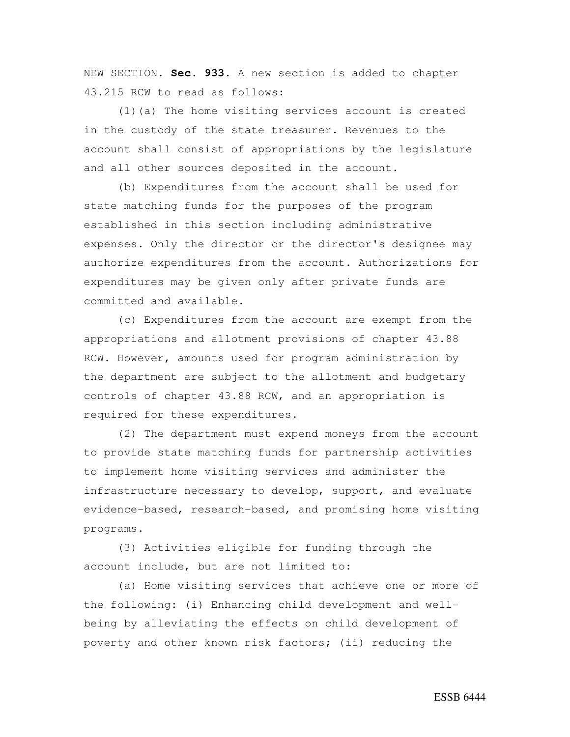NEW SECTION. **Sec. 933.** A new section is added to chapter 43.215 RCW to read as follows:

(1)(a) The home visiting services account is created in the custody of the state treasurer. Revenues to the account shall consist of appropriations by the legislature and all other sources deposited in the account.

(b) Expenditures from the account shall be used for state matching funds for the purposes of the program established in this section including administrative expenses. Only the director or the director's designee may authorize expenditures from the account. Authorizations for expenditures may be given only after private funds are committed and available.

(c) Expenditures from the account are exempt from the appropriations and allotment provisions of chapter 43.88 RCW. However, amounts used for program administration by the department are subject to the allotment and budgetary controls of chapter 43.88 RCW, and an appropriation is required for these expenditures.

(2) The department must expend moneys from the account to provide state matching funds for partnership activities to implement home visiting services and administer the infrastructure necessary to develop, support, and evaluate evidence-based, research-based, and promising home visiting programs.

(3) Activities eligible for funding through the account include, but are not limited to:

(a) Home visiting services that achieve one or more of the following: (i) Enhancing child development and wellbeing by alleviating the effects on child development of poverty and other known risk factors; (ii) reducing the